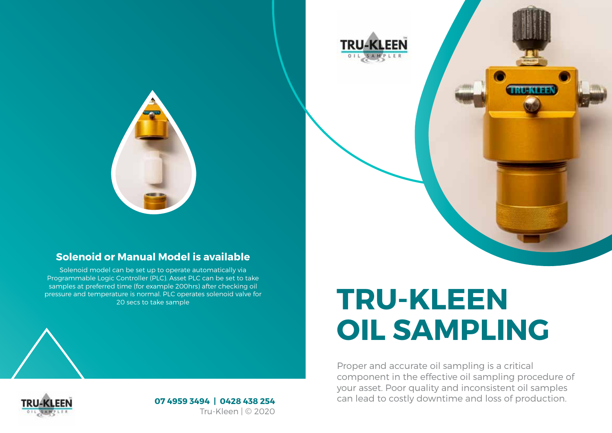

#### **Solenoid or Manual Model is available**

Solenoid model can be set up to operate automatically via Programmable Logic Controller (PLC). Asset PLC can be set to take samples at preferred time (for example 200hrs) after checking oil pressure and temperature is normal. PLC operates solenoid valve for 20 secs to take sample

# **TRU-KLEEN OIL SAMPLING**

Proper and accurate oil sampling is a critical component in the effective oil sampling procedure of your asset. Poor quality and inconsistent oil samples can lead to costly downtime and loss of production.



**07 4959 3494 | 0428 438 254** Tru-Kleen | © 2020